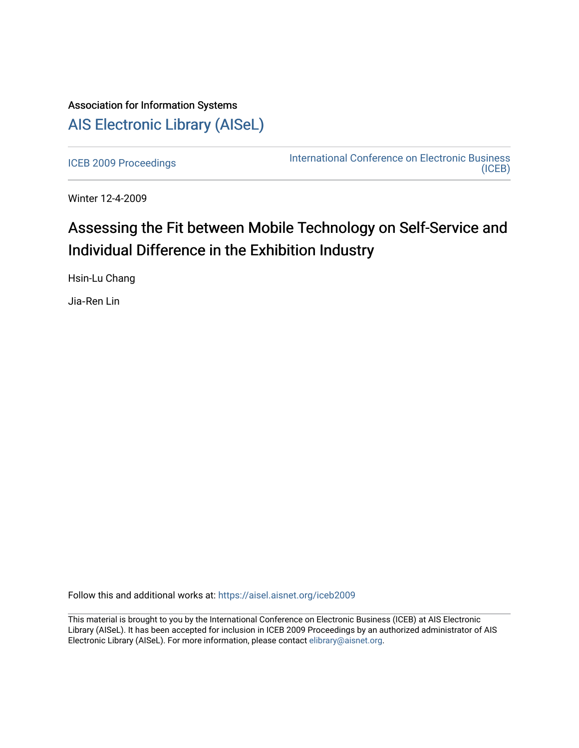## Association for Information Systems [AIS Electronic Library \(AISeL\)](https://aisel.aisnet.org/)

[ICEB 2009 Proceedings](https://aisel.aisnet.org/iceb2009) **International Conference on Electronic Business** [\(ICEB\)](https://aisel.aisnet.org/iceb) 

Winter 12-4-2009

# Assessing the Fit between Mobile Technology on Self-Service and Individual Difference in the Exhibition Industry

Hsin-Lu Chang

Jia‐Ren Lin

Follow this and additional works at: [https://aisel.aisnet.org/iceb2009](https://aisel.aisnet.org/iceb2009?utm_source=aisel.aisnet.org%2Ficeb2009%2F48&utm_medium=PDF&utm_campaign=PDFCoverPages)

This material is brought to you by the International Conference on Electronic Business (ICEB) at AIS Electronic Library (AISeL). It has been accepted for inclusion in ICEB 2009 Proceedings by an authorized administrator of AIS Electronic Library (AISeL). For more information, please contact [elibrary@aisnet.org.](mailto:elibrary@aisnet.org%3E)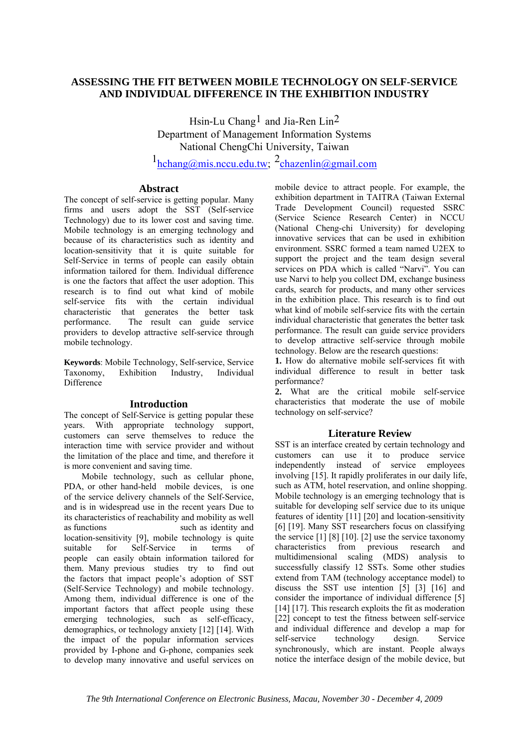## **ASSESSING THE FIT BETWEEN MOBILE TECHNOLOGY ON SELF-SERVICE AND INDIVIDUAL DIFFERENCE IN THE EXHIBITION INDUSTRY**

Hsin-Lu Chang<sup>1</sup> and Jia-Ren Lin<sup>2</sup> Department of Management Information Systems National ChengChi University, Taiwan

 $1_{\text{hchange}(\hat{a})\text{mis}.\text{nccu.edu.tw}}$   $2_{\text{chazenlin}(\hat{a})\text{gmail.com}}$ 

#### **Abstract**

The concept of self-service is getting popular. Many firms and users adopt the SST (Self-service Technology) due to its lower cost and saving time. Mobile technology is an emerging technology and because of its characteristics such as identity and location-sensitivity that it is quite suitable for Self-Service in terms of people can easily obtain information tailored for them. Individual difference is one the factors that affect the user adoption. This research is to find out what kind of mobile self-service fits with the certain individual characteristic that generates the better task performance. The result can guide service providers to develop attractive self-service through mobile technology.

**Keywords**: Mobile Technology, Self-service, Service Taxonomy, Exhibition Industry, Individual **Difference** 

## **Introduction**

The concept of Self-Service is getting popular these years. With appropriate technology support, customers can serve themselves to reduce the interaction time with service provider and without the limitation of the place and time, and therefore it is more convenient and saving time.

Mobile technology, such as cellular phone, PDA, or other hand-held mobile devices, is one of the service delivery channels of the Self-Service, and is in widespread use in the recent years Due to its characteristics of reachability and mobility as well as functions such as identity and location-sensitivity [9], mobile technology is quite suitable for Self-Service in terms of people can easily obtain information tailored for them. Many previous studies try to find out the factors that impact people's adoption of SST (Self-Service Technology) and mobile technology. Among them, individual difference is one of the important factors that affect people using these emerging technologies, such as self-efficacy, demographics, or technology anxiety [12] [14]. With the impact of the popular information services provided by I-phone and G-phone, companies seek to develop many innovative and useful services on mobile device to attract people. For example, the exhibition department in TAITRA (Taiwan External Trade Development Council) requested SSRC (Service Science Research Center) in NCCU (National Cheng-chi University) for developing innovative services that can be used in exhibition environment. SSRC formed a team named U2EX to support the project and the team design several services on PDA which is called "Narvi". You can use Narvi to help you collect DM, exchange business cards, search for products, and many other services in the exhibition place. This research is to find out what kind of mobile self-service fits with the certain individual characteristic that generates the better task performance. The result can guide service providers to develop attractive self-service through mobile technology. Below are the research questions:

**1.** How do alternative mobile self-services fit with individual difference to result in better task performance?

**2.** What are the critical mobile self-service characteristics that moderate the use of mobile technology on self-service?

## **Literature Review**

SST is an interface created by certain technology and customers can use it to produce service independently instead of service employees involving [15]. It rapidly proliferates in our daily life, such as ATM, hotel reservation, and online shopping. Mobile technology is an emerging technology that is suitable for developing self service due to its unique features of identity [11] [20] and location-sensitivity [6] [19]. Many SST researchers focus on classifying the service  $[1] [8] [10]$ .  $[2]$  use the service taxonomy characteristics from previous research and multidimensional scaling (MDS) analysis to successfully classify 12 SSTs. Some other studies extend from TAM (technology acceptance model) to discuss the SST use intention [5] [3] [16] and consider the importance of individual difference [5] [14] [17]. This research exploits the fit as moderation [22] concept to test the fitness between self-service and individual difference and develop a map for self-service technology design. Service synchronously, which are instant. People always notice the interface design of the mobile device, but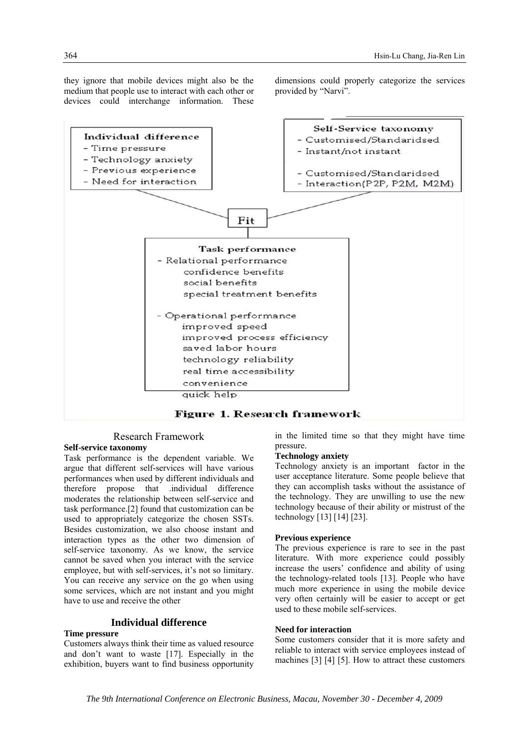they ignore that mobile devices might also be the medium that people use to interact with each other or devices could interchange information. These dimensions could properly categorize the services provided by "Narvi".



## Figure 1. Research framework

#### Research Framework

#### **Self-service taxonomy**

Task performance is the dependent variable. We argue that different self-services will have various performances when used by different individuals and therefore propose that .individual difference moderates the relationship between self-service and task performance.[2] found that customization can be used to appropriately categorize the chosen SSTs. Besides customization, we also choose instant and interaction types as the other two dimension of self-service taxonomy. As we know, the service cannot be saved when you interact with the service employee, but with self-services, it's not so limitary. You can receive any service on the go when using some services, which are not instant and you might have to use and receive the other

#### **Individual difference**

### **Time pressure**

Customers always think their time as valued resource and don't want to waste [17]. Especially in the exhibition, buyers want to find business opportunity in the limited time so that they might have time pressure.

#### **Technology anxiety**

Technology anxiety is an important factor in the user acceptance literature. Some people believe that they can accomplish tasks without the assistance of the technology. They are unwilling to use the new technology because of their ability or mistrust of the technology [13] [14] [23].

#### **Previous experience**

The previous experience is rare to see in the past literature. With more experience could possibly increase the users' confidence and ability of using the technology-related tools [13]. People who have much more experience in using the mobile device very often certainly will be easier to accept or get used to these mobile self-services.

#### **Need for interaction**

Some customers consider that it is more safety and reliable to interact with service employees instead of machines [3] [4] [5]. How to attract these customers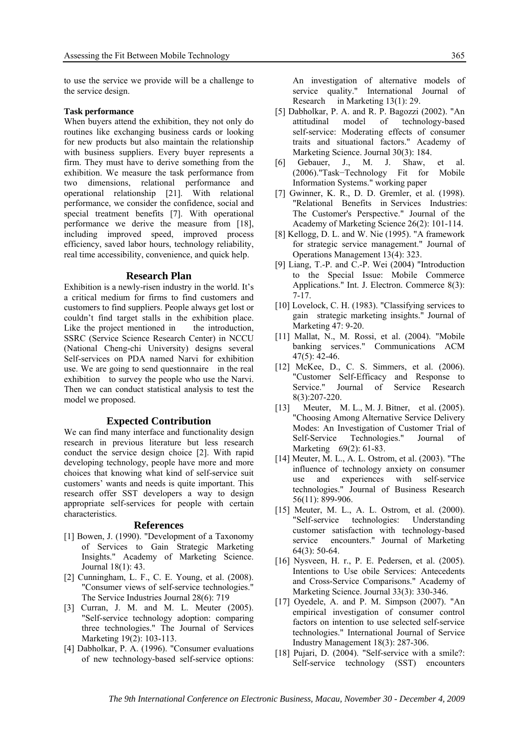to use the service we provide will be a challenge to the service design.

#### **Task performance**

When buyers attend the exhibition, they not only do routines like exchanging business cards or looking for new products but also maintain the relationship with business suppliers. Every buyer represents a firm. They must have to derive something from the exhibition. We measure the task performance from two dimensions, relational performance and operational relationship [21]. With relational performance, we consider the confidence, social and special treatment benefits [7]. With operational performance we derive the measure from [18], including improved speed, improved process efficiency, saved labor hours, technology reliability, real time accessibility, convenience, and quick help.

#### **Research Plan**

Exhibition is a newly-risen industry in the world. It's a critical medium for firms to find customers and customers to find suppliers. People always get lost or couldn't find target stalls in the exhibition place. Like the project mentioned in the introduction, SSRC (Service Science Research Center) in NCCU (National Cheng-chi University) designs several Self-services on PDA named Narvi for exhibition use. We are going to send questionnaire in the real exhibition to survey the people who use the Narvi. Then we can conduct statistical analysis to test the model we proposed.

#### **Expected Contribution**

We can find many interface and functionality design research in previous literature but less research conduct the service design choice [2]. With rapid developing technology, people have more and more choices that knowing what kind of self-service suit customers' wants and needs is quite important. This research offer SST developers a way to design appropriate self-services for people with certain characteristics.

#### **References**

- [1] Bowen, J. (1990). "Development of a Taxonomy of Services to Gain Strategic Marketing Insights." Academy of Marketing Science. Journal 18(1): 43.
- [2] Cunningham, L. F., C. E. Young, et al. (2008). "Consumer views of self-service technologies." The Service Industries Journal 28(6): 719
- [3] Curran, J. M. and M. L. Meuter (2005). "Self-service technology adoption: comparing three technologies." The Journal of Services Marketing 19(2): 103-113.
- [4] Dabholkar, P. A. (1996). "Consumer evaluations of new technology-based self-service options:

An investigation of alternative models of service quality." International Journal of Research in Marketing 13(1): 29.

- [5] Dabholkar, P. A. and R. P. Bagozzi (2002). "An attitudinal model of technology-based self-service: Moderating effects of consumer traits and situational factors." Academy of Marketing Science. Journal 30(3): 184.
- [6] Gebauer, J., M. J., Shaw, et al. (2006)."Task−Technology Fit for Mobile Information Systems." working paper
- [7] Gwinner, K. R., D. D. Gremler, et al. (1998). "Relational Benefits in Services Industries: The Customer's Perspective." Journal of the Academy of Marketing Science 26(2): 101-114.
- [8] Kellogg, D. L. and W. Nie (1995). "A framework for strategic service management." Journal of Operations Management 13(4): 323.
- [9] Liang, T.-P. and C.-P. Wei (2004) "Introduction to the Special Issue: Mobile Commerce Applications." Int. J. Electron. Commerce 8(3): 7-17.
- [10] Lovelock, C. H. (1983). "Classifying services to gain strategic marketing insights." Journal of Marketing 47: 9-20.
- [11] Mallat, N., M. Rossi, et al. (2004). "Mobile banking services." Communications ACM 47(5): 42-46.
- [12] McKee, D., C. S. Simmers, et al. (2006). "Customer Self-Efficacy and Response to Service." Journal of Service Research 8(3):207-220.
- [13] Meuter, M. L., M. J. Bitner, et al. (2005). "Choosing Among Alternative Service Delivery Modes: An Investigation of Customer Trial of Self-Service Technologies." Journal of Marketing 69(2): 61-83.
- [14] Meuter, M. L., A. L. Ostrom, et al. (2003). "The influence of technology anxiety on consumer use and experiences with self-service technologies." Journal of Business Research 56(11): 899-906.
- [15] Meuter, M. L., A. L. Ostrom, et al. (2000). "Self-service technologies: Understanding customer satisfaction with technology-based service encounters." Journal of Marketing 64(3): 50-64.
- [16] Nysveen, H. r., P. E. Pedersen, et al. (2005). Intentions to Use obile Services: Antecedents and Cross-Service Comparisons." Academy of Marketing Science. Journal 33(3): 330-346.
- [17] Oyedele, A. and P. M. Simpson (2007). "An empirical investigation of consumer control factors on intention to use selected self-service technologies." International Journal of Service Industry Management 18(3): 287-306.
- [18] Pujari, D. (2004). "Self-service with a smile?: Self-service technology (SST) encounters